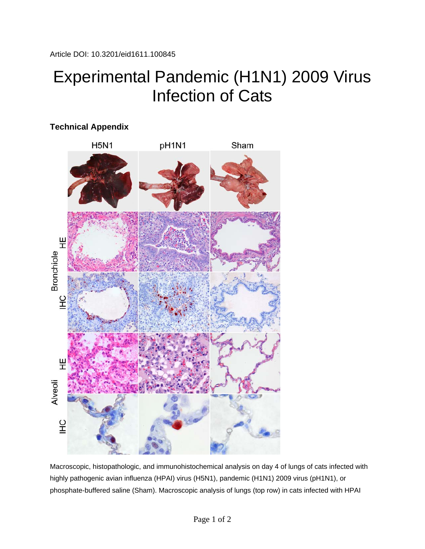## Experimental Pandemic (H1N1) 2009 Virus Infection of Cats



Macroscopic, histopathologic, and immunohistochemical analysis on day 4 of lungs of cats infected with highly pathogenic avian influenza (HPAI) virus (H5N1), pandemic (H1N1) 2009 virus (pH1N1), or phosphate-buffered saline (Sham). Macroscopic analysis of lungs (top row) in cats infected with HPAI